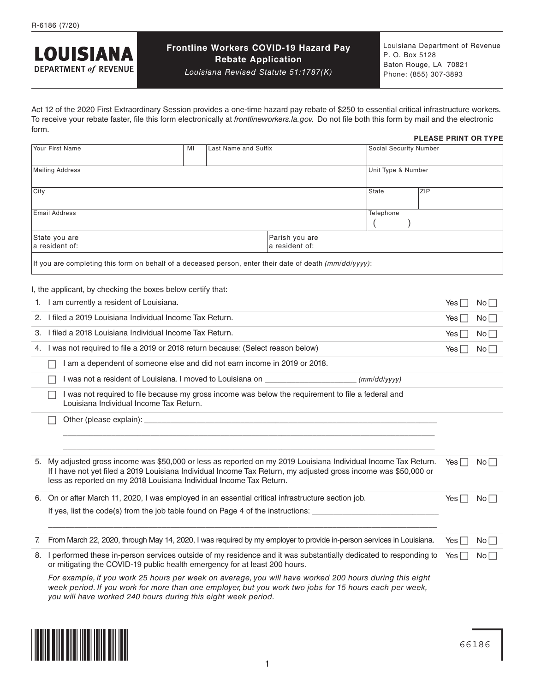

### **Frontline Workers COVID-19 Hazard Pay Rebate Application**

*Louisiana Revised Statute 51:1787(K)*

Louisiana Department of Revenue P. O. Box 5128 Baton Rouge, LA 70821 Phone: (855) 307-3893

Act 12 of the 2020 First Extraordinary Session provides a one-time hazard pay rebate of \$250 to essential critical infrastructure workers. To receive your rebate faster, file this form electronically at *[frontlineworkers.la.gov.](http://frontlineworkers.la.gov)* Do not file both this form by mail and the electronic form. **PLEASE PRINT OR TYPE**

|      | Your First Name                                                                                                                                                                                                                                                                                        | MI | Last Name and Suffix |                                  | Social Security Number |           |                     |                 |
|------|--------------------------------------------------------------------------------------------------------------------------------------------------------------------------------------------------------------------------------------------------------------------------------------------------------|----|----------------------|----------------------------------|------------------------|-----------|---------------------|-----------------|
|      |                                                                                                                                                                                                                                                                                                        |    |                      |                                  |                        |           |                     |                 |
|      | <b>Mailing Address</b>                                                                                                                                                                                                                                                                                 |    |                      |                                  | Unit Type & Number     |           |                     |                 |
| City |                                                                                                                                                                                                                                                                                                        |    |                      |                                  | <b>State</b>           | ZIP       |                     |                 |
|      |                                                                                                                                                                                                                                                                                                        |    |                      |                                  |                        |           |                     |                 |
|      | <b>Email Address</b>                                                                                                                                                                                                                                                                                   |    |                      |                                  | Telephone              |           |                     |                 |
|      | State you are<br>a resident of:                                                                                                                                                                                                                                                                        |    |                      | Parish you are<br>a resident of: |                        |           |                     |                 |
|      | If you are completing this form on behalf of a deceased person, enter their date of death (mm/dd/yyyy):                                                                                                                                                                                                |    |                      |                                  |                        |           |                     |                 |
|      | I, the applicant, by checking the boxes below certify that:                                                                                                                                                                                                                                            |    |                      |                                  |                        |           |                     |                 |
|      | 1. I am currently a resident of Louisiana.                                                                                                                                                                                                                                                             |    |                      |                                  |                        |           | Yes II              | $No \Box$       |
|      | 2. I filed a 2019 Louisiana Individual Income Tax Return.                                                                                                                                                                                                                                              |    |                      |                                  |                        |           | Yes $\vert \ \vert$ | No              |
|      | 3. I filed a 2018 Louisiana Individual Income Tax Return.                                                                                                                                                                                                                                              |    |                      |                                  |                        |           | Yes $\Box$          | No <sub>1</sub> |
|      | 4. I was not required to file a 2019 or 2018 return because: (Select reason below)                                                                                                                                                                                                                     |    |                      |                                  |                        |           | Yes $\Box$          | No <sub>1</sub> |
|      | I am a dependent of someone else and did not earn income in 2019 or 2018.                                                                                                                                                                                                                              |    |                      |                                  |                        |           |                     |                 |
|      | I was not a resident of Louisiana. I moved to Louisiana on _____________________<br>(mm/dd/yyyy)                                                                                                                                                                                                       |    |                      |                                  |                        |           |                     |                 |
|      | I was not required to file because my gross income was below the requirement to file a federal and<br>Louisiana Individual Income Tax Return.                                                                                                                                                          |    |                      |                                  |                        |           |                     |                 |
|      |                                                                                                                                                                                                                                                                                                        |    |                      |                                  |                        |           |                     |                 |
|      |                                                                                                                                                                                                                                                                                                        |    |                      |                                  |                        |           |                     |                 |
| 5.   | My adjusted gross income was \$50,000 or less as reported on my 2019 Louisiana Individual Income Tax Return.<br>If I have not yet filed a 2019 Louisiana Individual Income Tax Return, my adjusted gross income was \$50,000 or<br>less as reported on my 2018 Louisiana Individual Income Tax Return. |    |                      |                                  |                        |           | Yes $\Box$          | $No$            |
|      | 6. On or after March 11, 2020, I was employed in an essential critical infrastructure section job.                                                                                                                                                                                                     |    |                      |                                  |                        |           | Yes $\Box$          | No <sub>1</sub> |
|      | If yes, list the code(s) from the job table found on Page 4 of the instructions:                                                                                                                                                                                                                       |    |                      |                                  |                        |           |                     |                 |
| 7.   | From March 22, 2020, through May 14, 2020, I was required by my employer to provide in-person services in Louisiana.                                                                                                                                                                                   |    |                      |                                  |                        |           | Yes ∏               | No <sub>1</sub> |
| 8.   | I performed these in-person services outside of my residence and it was substantially dedicated to responding to<br>or mitigating the COVID-19 public health emergency for at least 200 hours.                                                                                                         |    |                      |                                  | Yes $\Box$             | $No \Box$ |                     |                 |
|      | For example, if you work 25 hours per week on average, you will have worked 200 hours during this eight                                                                                                                                                                                                |    |                      |                                  |                        |           |                     |                 |

*week period. If you work for more than one employer, but you work two jobs for 15 hours each per week, you will have worked 240 hours during this eight week period.*

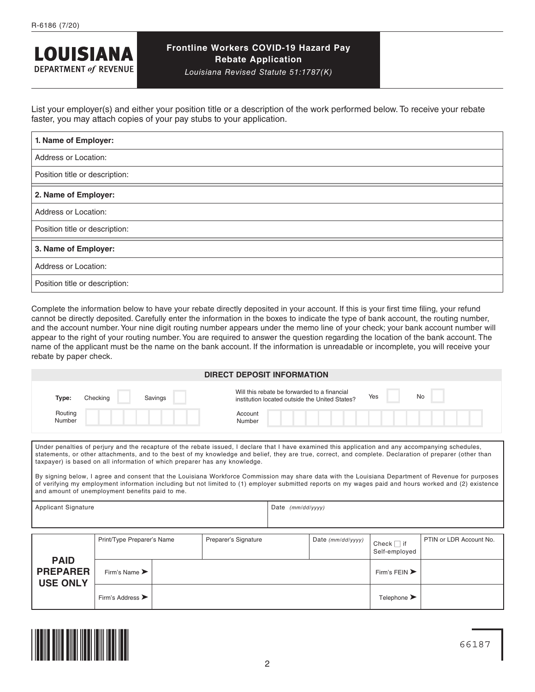

# **Frontline Workers COVID-19 Hazard Pay Rebate Application**

*Louisiana Revised Statute 51:1787(K)*

List your employer(s) and either your position title or a description of the work performed below. To receive your rebate faster, you may attach copies of your pay stubs to your application.

| 1. Name of Employer:           |  |  |  |  |
|--------------------------------|--|--|--|--|
| Address or Location:           |  |  |  |  |
| Position title or description: |  |  |  |  |
| 2. Name of Employer:           |  |  |  |  |
| Address or Location:           |  |  |  |  |
| Position title or description: |  |  |  |  |
| 3. Name of Employer:           |  |  |  |  |
| Address or Location:           |  |  |  |  |
| Position title or description: |  |  |  |  |

Complete the information below to have your rebate directly deposited in your account. If this is your first time filing, your refund cannot be directly deposited. Carefully enter the information in the boxes to indicate the type of bank account, the routing number, and the account number. Your nine digit routing number appears under the memo line of your check; your bank account number will appear to the right of your routing number. You are required to answer the question regarding the location of the bank account. The name of the applicant must be the name on the bank account. If the information is unreadable or incomplete, you will receive your rebate by paper check.

| <b>DIRECT DEPOSIT INFORMATION</b> |                     |  |                                                                                                             |  |
|-----------------------------------|---------------------|--|-------------------------------------------------------------------------------------------------------------|--|
| Type:                             | Checking<br>Savings |  | Will this rebate be forwarded to a financial<br>Yes<br>No<br>institution located outside the United States? |  |
| Routing<br>Number                 |                     |  | Account<br>Number                                                                                           |  |

Under penalties of perjury and the recapture of the rebate issued, I declare that I have examined this application and any accompanying schedules, statements, or other attachments, and to the best of my knowledge and belief, they are true, correct, and complete. Declaration of preparer (other than taxpayer) is based on all information of which preparer has any knowledge. By signing below, I agree and consent that the Louisiana Workforce Commission may share data with the Louisiana Department of Revenue for purposes

of verifying my employment information including but not limited to (1) employer submitted reports on my wages paid and hours worked and (2) existence and amount of unemployment benefits paid to me.

Applicant Signature **Date** *(mm/dd/yyyy)* 

|                                                   | Print/Type Preparer's Name           |  | Preparer's Signature | Date $(mm/dd/yyyy)$ | Check $\Box$ if<br>Self-employed  | PTIN or LDR Account No. |
|---------------------------------------------------|--------------------------------------|--|----------------------|---------------------|-----------------------------------|-------------------------|
| <b>PAID</b><br><b>PREPARER</b><br><b>USE ONLY</b> | Firm's Name $\blacktriangleright$    |  |                      |                     | Firm's FEIN $\blacktriangleright$ |                         |
|                                                   | Firm's Address $\blacktriangleright$ |  |                      |                     | Telephone $\blacktriangleright$   |                         |

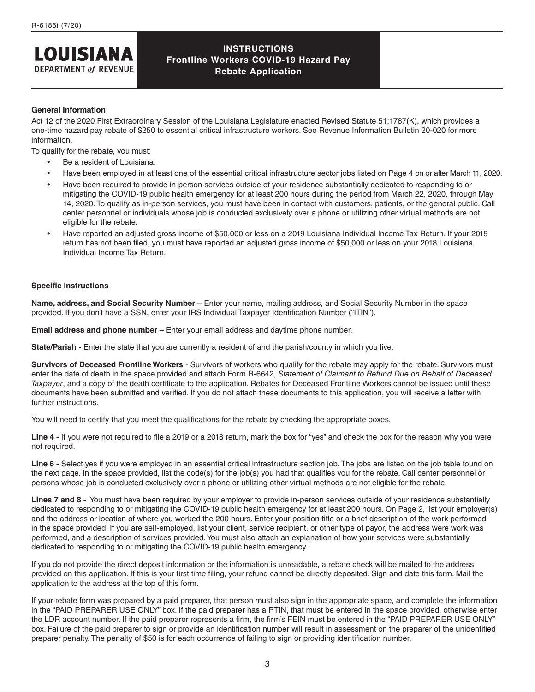# **INSTRUCTIONS Frontline Workers COVID-19 Hazard Pay Rebate Application**

#### **General Information**

**LOUISIANA DEPARTMENT of REVENUE** 

Act 12 of the 2020 First Extraordinary Session of the Louisiana Legislature enacted Revised Statute 51:1787(K), which provides a one-time hazard pay rebate of \$250 to essential critical infrastructure workers. See [Revenue Information Bulletin 20-020](http://revenue.louisiana.gov/LawsPolicies/RIB%2020-020%20Frontline%20Worker%20COVID-19%20Hazard%20Pay%20Rebate.pdf) for more information.

To qualify for the rebate, you must:

- Be a resident of Louisiana.
- Have been employed in at least one of the essential critical infrastructure sector jobs listed on Page 4 on or after March 11, 2020.
- Have been required to provide in-person services outside of your residence substantially dedicated to responding to or mitigating the COVID-19 public health emergency for at least 200 hours during the period from March 22, 2020, through May 14, 2020. To qualify as in-person services, you must have been in contact with customers, patients, or the general public. Call center personnel or individuals whose job is conducted exclusively over a phone or utilizing other virtual methods are not eligible for the rebate.
- Have reported an adjusted gross income of \$50,000 or less on a 2019 Louisiana Individual Income Tax Return. If your 2019 return has not been filed, you must have reported an adjusted gross income of \$50,000 or less on your 2018 Louisiana Individual Income Tax Return.

#### **Specific Instructions**

**Name, address, and Social Security Number** – Enter your name, mailing address, and Social Security Number in the space provided. If you don't have a SSN, enter your IRS Individual Taxpayer Identification Number ("ITIN").

**Email address and phone number** – Enter your email address and daytime phone number.

**State/Parish** - Enter the state that you are currently a resident of and the parish/county in which you live.

**Survivors of Deceased Frontline Workers** - Survivors of workers who qualify for the rebate may apply for the rebate. Survivors must enter the date of death in the space provided and attach Form R-6642, *Statement of Claimant to Refund Due on Behalf of Deceased Taxpayer*, and a copy of the death certificate to the application. Rebates for Deceased Frontline Workers cannot be issued until these documents have been submitted and verified. If you do not attach these documents to this application, you will receive a letter with further instructions.

You will need to certify that you meet the qualifications for the rebate by checking the appropriate boxes.

Line 4 - If you were not required to file a 2019 or a 2018 return, mark the box for "yes" and check the box for the reason why you were not required.

Line 6 - Select ves if you were employed in an essential critical infrastructure section job. The jobs are listed on the job table found on the next page. In the space provided, list the code(s) for the job(s) you had that qualifies you for the rebate. Call center personnel or persons whose job is conducted exclusively over a phone or utilizing other virtual methods are not eligible for the rebate.

**Lines 7 and 8 -** You must have been required by your employer to provide in-person services outside of your residence substantially dedicated to responding to or mitigating the COVID-19 public health emergency for at least 200 hours. On Page 2, list your employer(s) and the address or location of where you worked the 200 hours. Enter your position title or a brief description of the work performed in the space provided. If you are self-employed, list your client, service recipient, or other type of payor, the address were work was performed, and a description of services provided. You must also attach an explanation of how your services were substantially dedicated to responding to or mitigating the COVID-19 public health emergency.

If you do not provide the direct deposit information or the information is unreadable, a rebate check will be mailed to the address provided on this application. If this is your first time filing, your refund cannot be directly deposited. Sign and date this form. Mail the application to the address at the top of this form.

If your rebate form was prepared by a paid preparer, that person must also sign in the appropriate space, and complete the information in the "PAID PREPARER USE ONLY" box. If the paid preparer has a PTIN, that must be entered in the space provided, otherwise enter the LDR account number. If the paid preparer represents a firm, the firm's FEIN must be entered in the "PAID PREPARER USE ONLY" box. Failure of the paid preparer to sign or provide an identification number will result in assessment on the preparer of the unidentified preparer penalty. The penalty of \$50 is for each occurrence of failing to sign or providing identification number.